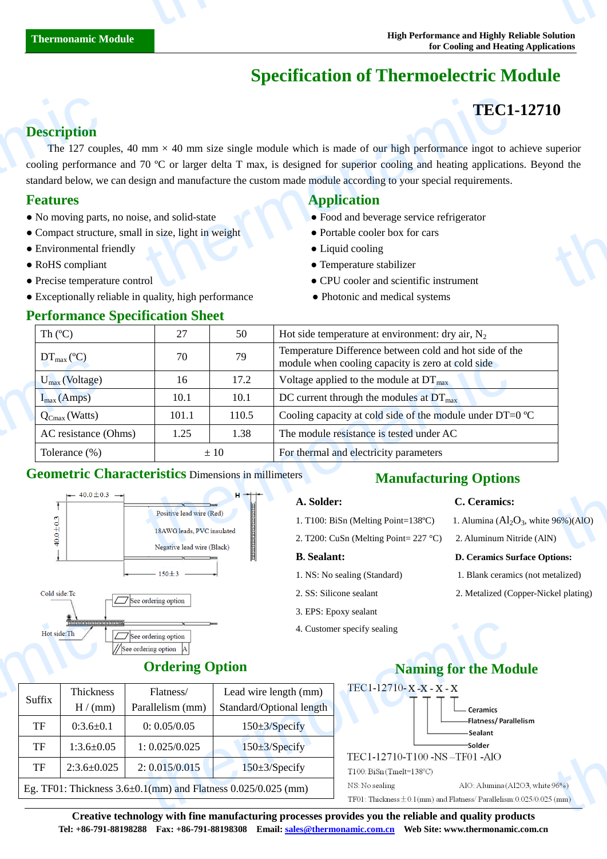# **Specification of Thermoelectric Module**

# **TEC1-12710**

## **Description**

The 127 couples, 40 mm  $\times$  40 mm size single module which is made of our high performance ingot to achieve superior cooling performance and 70  $\degree$  C or larger delta T max, is designed for superior cooling and heating applications. Beyond the standard below, we can design and manufacture the custom made module according to your special requirements. **Description**<br>The 127 couples<br>cooling performan<br>standard below, we<br>**Features**<br>• No moving parts<br>• Compact structu<br>• Environmental f<br>• RoHS compliant<br>• Precise temperat **TEC1**<br>
mm  $\times$  40 mm size single module which is made of our high performance ingot to a<br>
70 C or larger delta T max, is designed for superior cooling and heating application<br>
se, and solid-state<br>
is a set of superior co **O**<br>uperior<br>bnd the

- No moving parts, no noise, and solid-state <br>• Food and beverage service refrigerator
- Compact structure, small in size, light in weight Portable cooler box for cars
- Environmental friendly Liquid cooling
- 
- 
- Exceptionally reliable in quality, high performance Photonic and medical systems

### **Performance Specification Sheet**

## **Features Application Application**

- 
- 
- 
- RoHS compliant Temperature stabilizer
- Precise temperature control CPU cooler and scientific instrument
	-

| Th $(C)$                                                   | 27                                                       | 50                  | Hot side temperature at environment: dry air, $N_2$                                                          |  |  |  |
|------------------------------------------------------------|----------------------------------------------------------|---------------------|--------------------------------------------------------------------------------------------------------------|--|--|--|
| $DT_{\text{max}}(\mathbb{C})$                              | 70                                                       | 79                  | Temperature Difference between cold and hot side of the<br>module when cooling capacity is zero at cold side |  |  |  |
| $U_{max}$ (Voltage)                                        | 16                                                       | 17.2                | Voltage applied to the module at $DT_{\text{max}}$                                                           |  |  |  |
| $I_{max}(Amps)$                                            | 10.1                                                     | 10.1                | DC current through the modules at $DT_{\text{max}}$                                                          |  |  |  |
| $Q_{\text{Cmax}}$ (Watts)                                  | 101.1                                                    | 110.5               | Cooling capacity at cold side of the module under DT=0 $\mathbb{C}$                                          |  |  |  |
| AC resistance (Ohms)                                       | 1.25                                                     | 1.38                | The module resistance is tested under AC                                                                     |  |  |  |
| Tolerance $(\%)$                                           | $\pm 10$                                                 |                     | For thermal and electricity parameters                                                                       |  |  |  |
| <b>Geometric Characteristics Dimensions in millimeters</b> |                                                          |                     | <b>Manufacturing Options</b>                                                                                 |  |  |  |
| $\leftarrow$ 40.0 ± 0.3 $\rightarrow$                      |                                                          | $H \rightarrow + -$ | A. Solder:<br>C. Ceramics:                                                                                   |  |  |  |
|                                                            | Positive lead wire (Red)                                 |                     | . Alumina $(Al_2O_3$ , white 96%) $(AlO)$<br>1. T100: BiSn (Melting Point=138 °C)                            |  |  |  |
|                                                            | 18AWG leads, PVC insulated<br>Negative lead wire (Black) |                     | 2. T200: CuSn (Melting Point= $227 \text{ C}$ )<br>2. Aluminum Nitride (AlN)                                 |  |  |  |
|                                                            |                                                          |                     |                                                                                                              |  |  |  |

## **Geometric Characteristics** Dimensions in millimeters



# **Manufacturing Options**

### **A. Solder: C. Ceramics:**

- 1. T100: BiSn (Melting Point=138 °C) 1. Alumina  $(A<sub>1</sub>, O<sub>3</sub>,$  white 96%)(AlO)
- 2. T200: CuSn (Melting Point= 227 °C) 2. Aluminum Nitride (AlN)

### **B. Sealant: D. Ceramics Surface Options:**

- 1. NS: No sealing (Standard) 1. Blank ceramics (not metalized)
- 2. SS: Silicone sealant 2. Metalized (Copper-Nickel plating)
- 3. EPS: Epoxy sealant
- 4. Customer specify sealing



**Ordering Option Naming for the Module** 

|                                                                                                                                                                                                                                                                                                                                  | Hot side:Th | 110) 111  121  131  131  131  131  131 | 4. Custon<br>See ordering option<br>//See ordering option  A<br><b>Ordering Option</b> |                                                                        |  |
|----------------------------------------------------------------------------------------------------------------------------------------------------------------------------------------------------------------------------------------------------------------------------------------------------------------------------------|-------------|----------------------------------------|----------------------------------------------------------------------------------------|------------------------------------------------------------------------|--|
|                                                                                                                                                                                                                                                                                                                                  | Suffix      | Thickness                              | Flatness/                                                                              | Lead wire length (mm)                                                  |  |
|                                                                                                                                                                                                                                                                                                                                  |             | H/(mm)                                 | Parallelism (mm)                                                                       | Standard/Optional length                                               |  |
|                                                                                                                                                                                                                                                                                                                                  | TF          | $0:3.6 \pm 0.1$                        | 0: 0.05/0.05                                                                           | $150 \pm 3$ /Specify                                                   |  |
|                                                                                                                                                                                                                                                                                                                                  | TF          | $1:3.6 \pm 0.05$                       | 1: 0.025/0.025                                                                         | $150 \pm 3$ /Specify                                                   |  |
|                                                                                                                                                                                                                                                                                                                                  | TF          | $2:3.6 \pm 0.025$                      | 2: 0.015/0.015                                                                         | $150 \pm 3$ /Specify                                                   |  |
|                                                                                                                                                                                                                                                                                                                                  |             |                                        |                                                                                        | Eg. TF01: Thickness $3.6 \pm 0.1$ (mm) and Flatness $0.025/0.025$ (mm) |  |
|                                                                                                                                                                                                                                                                                                                                  |             |                                        |                                                                                        |                                                                        |  |
| $\alpha$ and $\alpha$ and $\alpha$ and $\alpha$ and $\alpha$ and $\alpha$ and $\alpha$ and $\alpha$ and $\alpha$ and $\alpha$ and $\alpha$ and $\alpha$ and $\alpha$ and $\alpha$ and $\alpha$ and $\alpha$ and $\alpha$ and $\alpha$ and $\alpha$ and $\alpha$ and $\alpha$ and $\alpha$ and $\alpha$ and $\alpha$ and $\alpha$ |             |                                        |                                                                                        |                                                                        |  |

**Creative technology with fine manufacturing processes provides you the reliable and quality products Tel: +86-791-88198288 Fax: +86-791-88198308 Email: sales@thermonamic.com.cn Web Site: www.thermonamic.com.cn**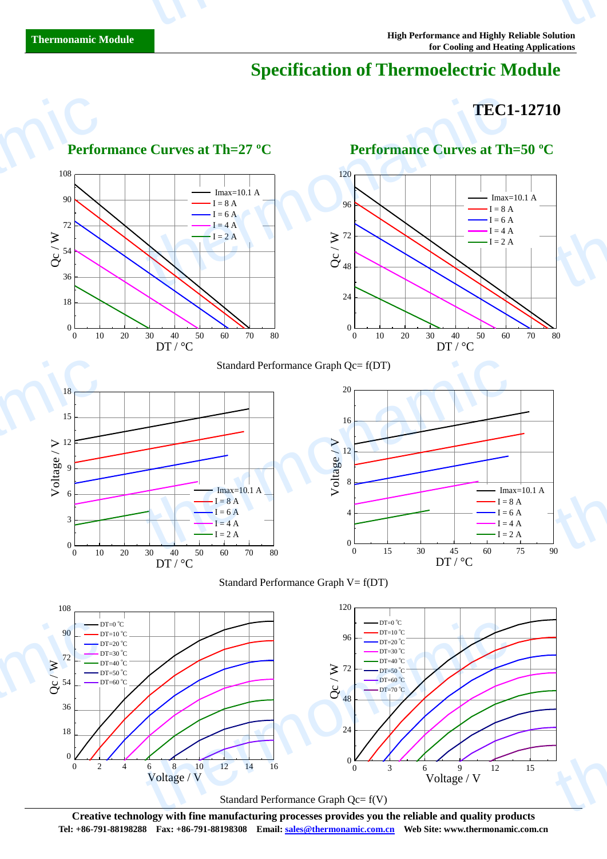# **Specification of Thermoelectric Module**

# **TEC1-12710**



**Creative technology with fine manufacturing processes provides you the reliable and quality products Tel: +86-791-88198288 Fax: +86-791-88198308 Email: sales@thermonamic.com.cn Web Site: www.thermonamic.com.cn**